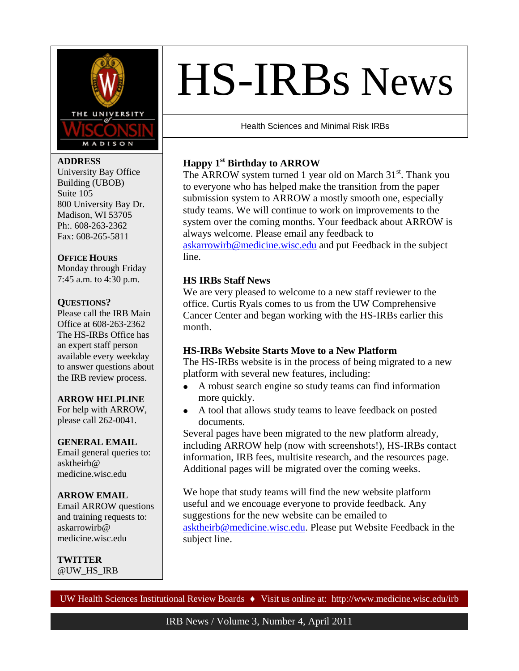

### **ADDRESS**

University Bay Office Building (UBOB) Suite 105 800 University Bay Dr. Madison, WI 53705 Ph:. 608-263-2362 Fax: 608-265-5811

### **OFFICE HOURS**

Monday through Friday 7:45 a.m. to 4:30 p.m.

### **QUESTIONS?**

Please call the IRB Main Office at 608-263-2362 The HS-IRBs Office has an expert staff person available every weekday to answer questions about the IRB review process.

### **ARROW HELPLINE**

For help with ARROW, please call 262-0041.

### **GENERAL EMAIL**

Email general queries to: asktheirb@ medicine.wisc.edu

### **ARROW EMAIL**

Email ARROW questions and training requests to: askarrowirb@ medicine.wisc.edu

**TWITTER** @UW\_HS\_IRB

# HS-IRBs News

Health Sciences and Minimal Risk IRBs

# **Happy 1st Birthday to ARROW**

The ARROW system turned 1 year old on March 31<sup>st</sup>. Thank you to everyone who has helped make the transition from the paper submission system to ARROW a mostly smooth one, especially study teams. We will continue to work on improvements to the system over the coming months. Your feedback about ARROW is always welcome. Please email any feedback to [askarrowirb@medicine.wisc.edu](mailto:askarrowirb@medicine.wisc.edu) and put Feedback in the subject

line.

### **HS IRBs Staff News**

We are very pleased to welcome to a new staff reviewer to the office. Curtis Ryals comes to us from the UW Comprehensive Cancer Center and began working with the HS-IRBs earlier this month.

# **HS-IRBs Website Starts Move to a New Platform**

The HS-IRBs website is in the process of being migrated to a new platform with several new features, including:

- $\bullet$ A robust search engine so study teams can find information more quickly.
- A tool that allows study teams to leave feedback on posted  $\bullet$ documents.

Several pages have been migrated to the new platform already, including ARROW help (now with screenshots!), HS-IRBs contact information, IRB fees, multisite research, and the resources page. Additional pages will be migrated over the coming weeks.

We hope that study teams will find the new website platform useful and we encouage everyone to provide feedback. Any suggestions for the new website can be emailed to [asktheirb@medicine.wisc.edu.](mailto:asktheirb@medicine.wisc.edu) Please put Website Feedback in the subject line.

UW Health Sciences Institutional Review Boards ♦ Visit us online at: http://www.medicine.wisc.edu/irb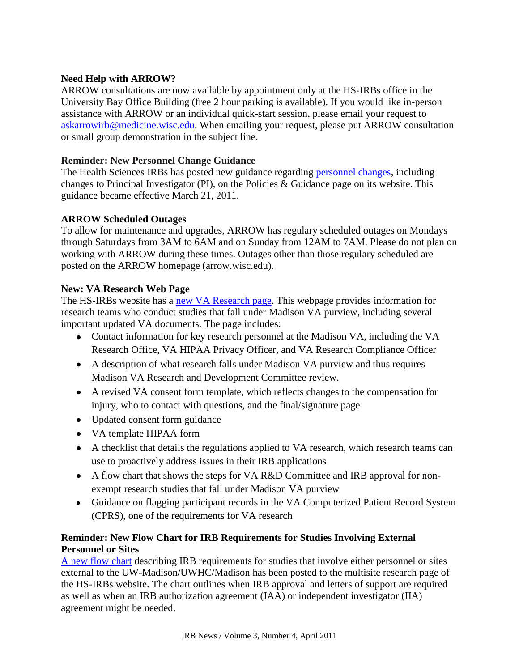# **Need Help with ARROW?**

ARROW consultations are now available by appointment only at the HS-IRBs office in the University Bay Office Building (free 2 hour parking is available). If you would like in-person assistance with ARROW or an individual quick-start session, please email your request to [askarrowirb@medicine.wisc.edu.](mailto:askarrowirb@medicine.wisc.edu) When emailing your request, please put ARROW consultation or small group demonstration in the subject line.

# **Reminder: New Personnel Change Guidance**

The Health Sciences IRBs has posted new guidance regarding [personnel changes,](http://www.grad.wisc.edu/research/hrpp/hsirbs/documents/Personnelchangeguidelines03152011.pdf) including changes to Principal Investigator (PI), on the Policies & Guidance page on its website. This guidance became effective March 21, 2011.

# **ARROW Scheduled Outages**

To allow for maintenance and upgrades, ARROW has regulary scheduled outages on Mondays through Saturdays from 3AM to 6AM and on Sunday from 12AM to 7AM. Please do not plan on working with ARROW during these times. Outages other than those regulary scheduled are posted on the ARROW homepage (arrow.wisc.edu).

# **New: VA Research Web Page**

The HS-IRBs website has a [new VA Research page.](http://www.grad.wisc.edu/research/hrpp/hsirbs/VAResearch.html) This webpage provides information for research teams who conduct studies that fall under Madison VA purview, including several important updated VA documents. The page includes:

- Contact information for key research personnel at the Madison VA, including the VA Research Office, VA HIPAA Privacy Officer, and VA Research Compliance Officer
- A description of what research falls under Madison VA purview and thus requires Madison VA Research and Development Committee review.
- A revised VA consent form template, which reflects changes to the compensation for injury, who to contact with questions, and the final/signature page
- Updated consent form guidance
- VA template HIPAA form
- A checklist that details the regulations applied to VA research, which research teams can use to proactively address issues in their IRB applications
- A flow chart that shows the steps for VA R&D Committee and IRB approval for nonexempt research studies that fall under Madison VA purview
- Guidance on flagging participant records in the VA Computerized Patient Record System (CPRS), one of the requirements for VA research

# **Reminder: New Flow Chart for IRB Requirements for Studies Involving External Personnel or Sites**

[A new flow chart](http://www.grad.wisc.edu/research/hrpp/hsirbs/documents/IRBoversightJanuary2011.pdf) describing IRB requirements for studies that involve either personnel or sites external to the UW-Madison/UWHC/Madison has been posted to the multisite research page of the HS-IRBs website. The chart outlines when IRB approval and letters of support are required as well as when an IRB authorization agreement (IAA) or independent investigator (IIA) agreement might be needed.